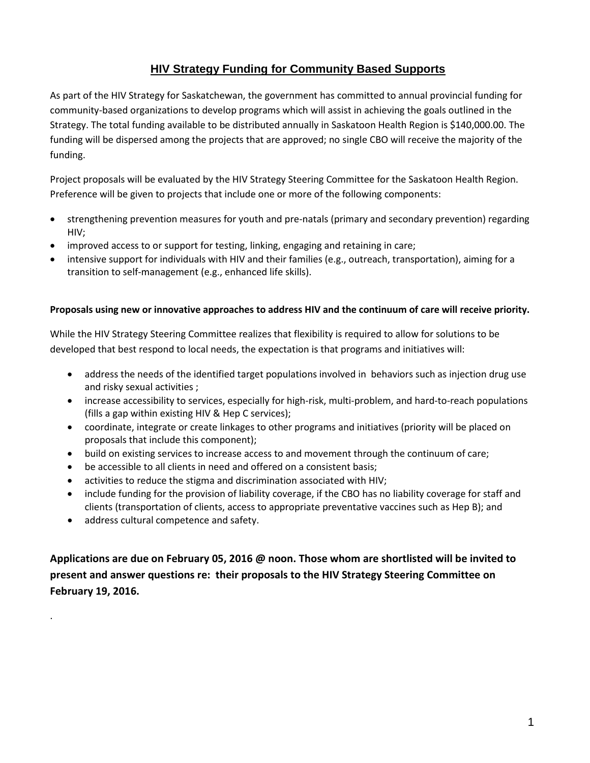## **HIV Strategy Funding for Community Based Supports**

As part of the HIV Strategy for Saskatchewan, the government has committed to annual provincial funding for community-based organizations to develop programs which will assist in achieving the goals outlined in the Strategy. The total funding available to be distributed annually in Saskatoon Health Region is \$140,000.00. The funding will be dispersed among the projects that are approved; no single CBO will receive the majority of the funding.

Project proposals will be evaluated by the HIV Strategy Steering Committee for the Saskatoon Health Region. Preference will be given to projects that include one or more of the following components:

- strengthening prevention measures for youth and pre-natals (primary and secondary prevention) regarding HIV;
- improved access to or support for testing, linking, engaging and retaining in care;
- intensive support for individuals with HIV and their families (e.g., outreach, transportation), aiming for a transition to self-management (e.g., enhanced life skills).

#### **Proposals using new or innovative approaches to address HIV and the continuum of care will receive priority.**

While the HIV Strategy Steering Committee realizes that flexibility is required to allow for solutions to be developed that best respond to local needs, the expectation is that programs and initiatives will:

- address the needs of the identified target populations involved in behaviors such as injection drug use and risky sexual activities ;
- increase accessibility to services, especially for high-risk, multi-problem, and hard-to-reach populations (fills a gap within existing HIV & Hep C services);
- coordinate, integrate or create linkages to other programs and initiatives (priority will be placed on proposals that include this component);
- build on existing services to increase access to and movement through the continuum of care;
- be accessible to all clients in need and offered on a consistent basis;
- activities to reduce the stigma and discrimination associated with HIV;
- include funding for the provision of liability coverage, if the CBO has no liability coverage for staff and clients (transportation of clients, access to appropriate preventative vaccines such as Hep B); and
- address cultural competence and safety.

.

**Applications are due on February 05, 2016 @ noon. Those whom are shortlisted will be invited to present and answer questions re: their proposals to the HIV Strategy Steering Committee on February 19, 2016.**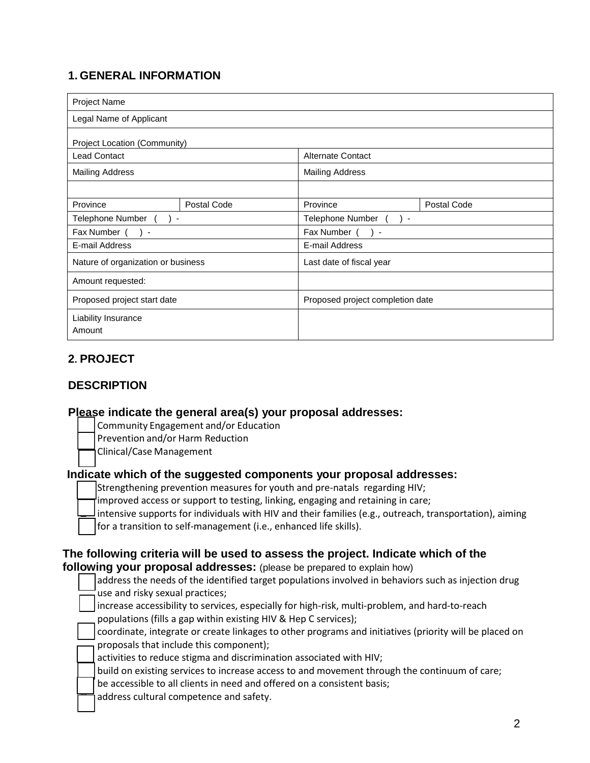# **1. GENERAL INFORMATION**

| <b>Project Name</b>                |             |                                  |             |  |
|------------------------------------|-------------|----------------------------------|-------------|--|
| Legal Name of Applicant            |             |                                  |             |  |
| Project Location (Community)       |             |                                  |             |  |
| <b>Lead Contact</b>                |             | <b>Alternate Contact</b>         |             |  |
| <b>Mailing Address</b>             |             | <b>Mailing Address</b>           |             |  |
|                                    |             |                                  |             |  |
| Province                           | Postal Code | Province                         | Postal Code |  |
| Telephone Number () -              |             | Telephone Number () -            |             |  |
| Fax Number (<br>$\rightarrow$      |             | Fax Number (<br>$\rightarrow$    |             |  |
| E-mail Address                     |             | E-mail Address                   |             |  |
| Nature of organization or business |             | Last date of fiscal year         |             |  |
| Amount requested:                  |             |                                  |             |  |
| Proposed project start date        |             | Proposed project completion date |             |  |
| Liability Insurance<br>Amount      |             |                                  |             |  |

# **2. PROJECT**

# **DESCRIPTION**

### **Please indicate the general area(s) your proposal addresses:**

- Community Engagement and/or Education
- Prevention and/or Harm Reduction
- Clinical/Case Management

### **Indicate which of the suggested components your proposal addresses:**

- Strengthening prevention measures for youth and pre-natals regarding HIV;
- improved access or support to testing, linking, engaging and retaining in care;
- intensive supports for individuals with HIV and their families (e.g., outreach, transportation), aiming
- for a transition to self-management (i.e., enhanced life skills).

# **The following criteria will be used to assess the project. Indicate which of the following your proposal addresses:** (please be prepared to explain how)

| address the needs of the identified target populations involved in behaviors such as injection drug    |
|--------------------------------------------------------------------------------------------------------|
| use and risky sexual practices;                                                                        |
| increase accessibility to services, especially for high-risk, multi-problem, and hard-to-reach         |
| populations (fills a gap within existing HIV & Hep C services);                                        |
| coordinate, integrate or create linkages to other programs and initiatives (priority will be placed on |
| proposals that include this component);                                                                |
| activities to reduce stigma and discrimination associated with HIV;                                    |
| build on existing services to increase access to and movement through the continuum of care;           |
| be accessible to all clients in need and offered on a consistent basis;                                |
|                                                                                                        |

address cultural competence and safety.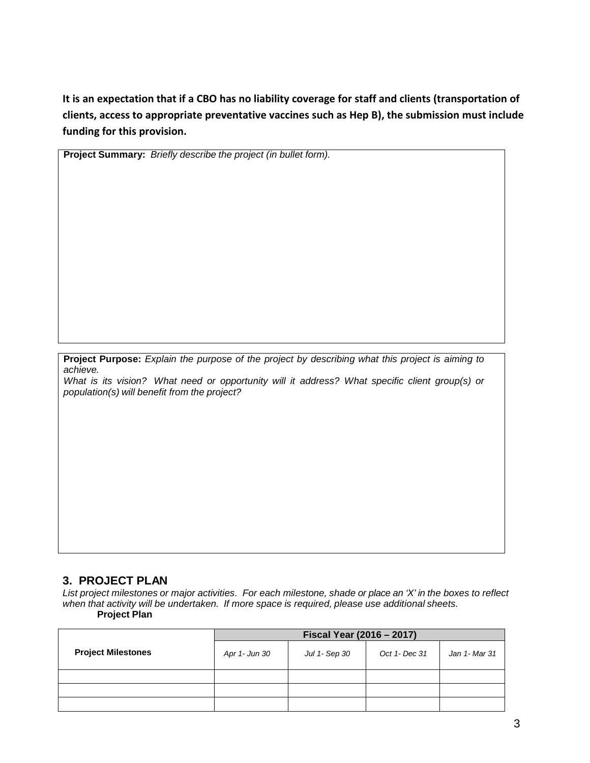**It is an expectation that if a CBO has no liability coverage for staff and clients (transportation of clients, access to appropriate preventative vaccines such as Hep B), the submission must include funding for this provision.**

**Project Summary:** *Briefly describe the project (in bullet form).*

**Project Purpose:** *Explain the purpose of the project by describing what this project is aiming to achieve.* 

*What is its vision? What need or opportunity will it address? What specific client group(s) or population(s) will benefit from the project?*

#### **3. PROJECT PLAN**

*List project milestones or major activities. For each milestone, shade or place an 'X' in the boxes to reflect when that activity will be undertaken. If more space is required, please use additional sheets.* **Project Plan**

|                           | Fiscal Year (2016 - 2017) |               |               |               |
|---------------------------|---------------------------|---------------|---------------|---------------|
| <b>Project Milestones</b> | Apr 1- Jun 30             | Jul 1- Sep 30 | Oct 1- Dec 31 | Jan 1- Mar 31 |
|                           |                           |               |               |               |
|                           |                           |               |               |               |
|                           |                           |               |               |               |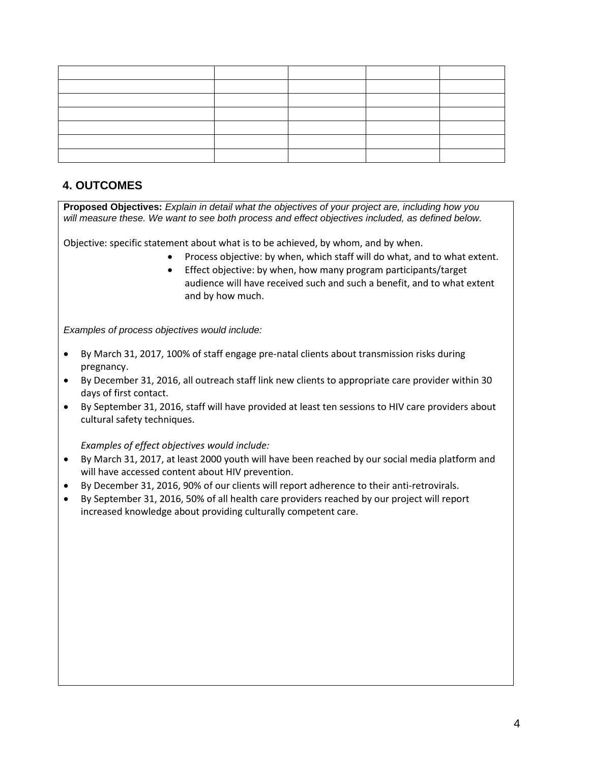## **4. OUTCOMES**

**Proposed Objectives:** *Explain in detail what the objectives of your project are, including how you will measure these. We want to see both process and effect objectives included, as defined below.*

Objective: specific statement about what is to be achieved, by whom, and by when.

- Process objective: by when, which staff will do what, and to what extent.
- Effect objective: by when, how many program participants/target audience will have received such and such a benefit, and to what extent and by how much.

*Examples of process objectives would include:*

- By March 31, 2017, 100% of staff engage pre-natal clients about transmission risks during pregnancy.
- By December 31, 2016, all outreach staff link new clients to appropriate care provider within 30 days of first contact.
- By September 31, 2016, staff will have provided at least ten sessions to HIV care providers about cultural safety techniques.

*Examples of effect objectives would include:* 

- By March 31, 2017, at least 2000 youth will have been reached by our social media platform and will have accessed content about HIV prevention.
- By December 31, 2016, 90% of our clients will report adherence to their anti-retrovirals.
- By September 31, 2016, 50% of all health care providers reached by our project will report increased knowledge about providing culturally competent care.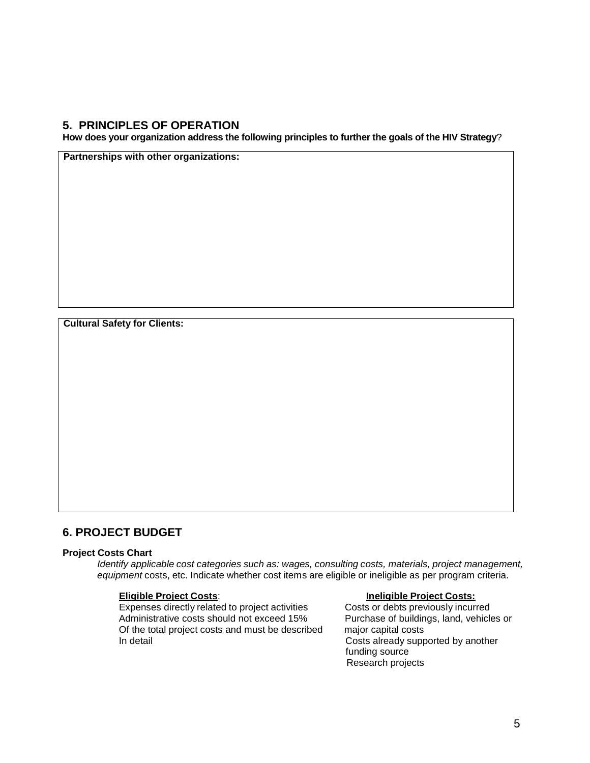### **5. PRINCIPLES OF OPERATION**

**How does your organization address the following principles to further the goals of the HIV Strategy**?

**Partnerships with other organizations:**

**Cultural Safety for Clients:**

### **6. PROJECT BUDGET**

#### **Project Costs Chart**

*Identify applicable cost categories such as: wages, consulting costs, materials, project management, equipment* costs, etc. Indicate whether cost items are eligible or ineligible as per program criteria.

**Eligible Project Costs**: **Ineligible Project Costs:** Expenses directly related to project activities Costs or debts previously incurred<br>Administrative costs should not exceed 15% Purchase of buildings, land, vehicles or Administrative costs should not exceed 15% Of the total project costs and must be described major capital costs<br>In detail Costs already supp

Costs already supported by another funding source Research projects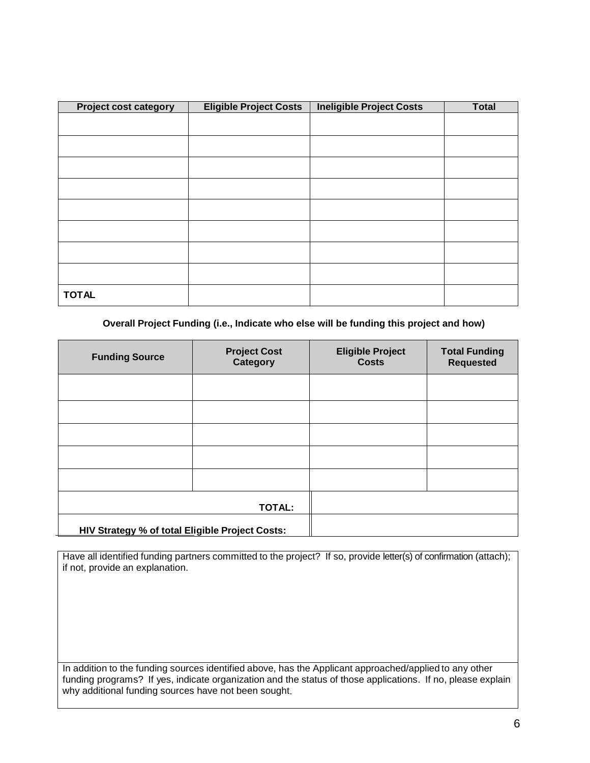| <b>Project cost category</b> | <b>Eligible Project Costs</b> | <b>Ineligible Project Costs</b> | <b>Total</b> |
|------------------------------|-------------------------------|---------------------------------|--------------|
|                              |                               |                                 |              |
|                              |                               |                                 |              |
|                              |                               |                                 |              |
|                              |                               |                                 |              |
|                              |                               |                                 |              |
|                              |                               |                                 |              |
|                              |                               |                                 |              |
|                              |                               |                                 |              |
| <b>TOTAL</b>                 |                               |                                 |              |

#### **Overall Project Funding (i.e., Indicate who else will be funding this project and how)**

| <b>Funding Source</b>                           | <b>Project Cost</b><br><b>Category</b> | <b>Eligible Project</b><br><b>Costs</b> | <b>Total Funding</b><br><b>Requested</b> |
|-------------------------------------------------|----------------------------------------|-----------------------------------------|------------------------------------------|
|                                                 |                                        |                                         |                                          |
|                                                 |                                        |                                         |                                          |
|                                                 |                                        |                                         |                                          |
|                                                 |                                        |                                         |                                          |
|                                                 |                                        |                                         |                                          |
|                                                 | <b>TOTAL:</b>                          |                                         |                                          |
| HIV Strategy % of total Eligible Project Costs: |                                        |                                         |                                          |

Have all identified funding partners committed to the project? If so, provide letter(s) of confirmation (attach); if not, provide an explanation.

In addition to the funding sources identified above, has the Applicant approached/applied to any other funding programs? If yes, indicate organization and the status of those applications. If no, please explain why additional funding sources have not been sought.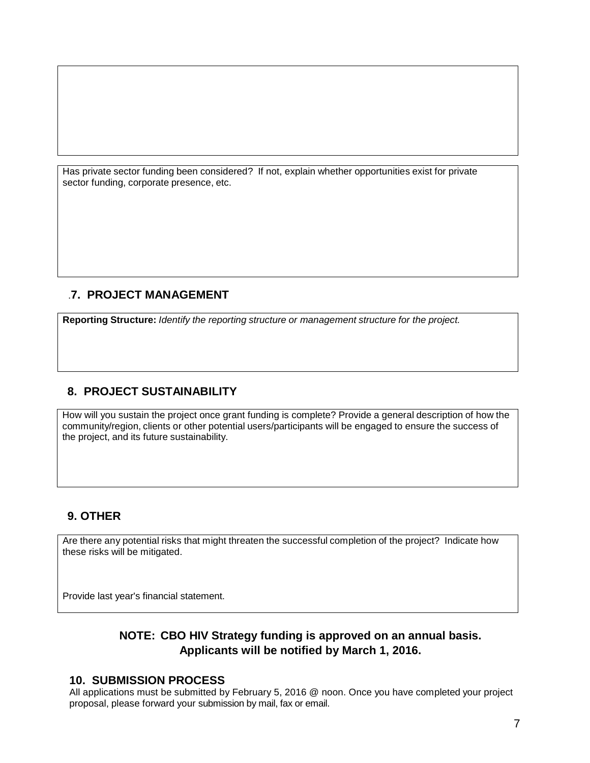Has private sector funding been considered? If not, explain whether opportunities exist for private sector funding, corporate presence, etc.

## .**7. PROJECT MANAGEMENT**

**Reporting Structure:** *Identify the reporting structure or management structure for the project.*

# **8. PROJECT SUSTAINABILITY**

How will you sustain the project once grant funding is complete? Provide a general description of how the community/region, clients or other potential users/participants will be engaged to ensure the success of the project, and its future sustainability.

# **9. OTHER**

Are there any potential risks that might threaten the successful completion of the project? Indicate how these risks will be mitigated.

Provide last year's financial statement.

# **NOTE: CBO HIV Strategy funding is approved on an annual basis. Applicants will be notified by March 1, 2016.**

## **10. SUBMISSION PROCESS**

All applications must be submitted by February 5, 2016 @ noon. Once you have completed your project proposal, please forward your submission by mail, fax or email.